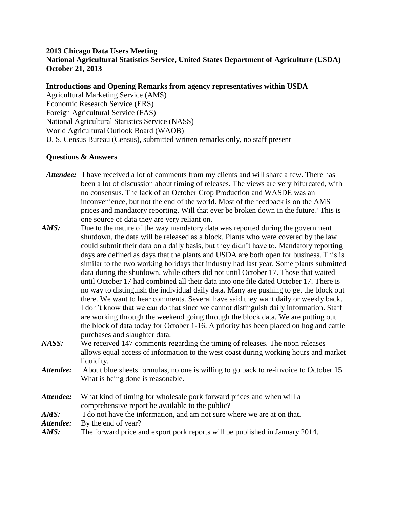## **2013 Chicago Data Users Meeting**

**National Agricultural Statistics Service, United States Department of Agriculture (USDA) October 21, 2013**

## **Introductions and Opening Remarks from agency representatives within USDA**

Agricultural Marketing Service (AMS) Economic Research Service (ERS) Foreign Agricultural Service (FAS) National Agricultural Statistics Service (NASS) World Agricultural Outlook Board (WAOB) U. S. Census Bureau (Census), submitted written remarks only, no staff present

## **Questions & Answers**

- *Attendee:* I have received a lot of comments from my clients and will share a few. There has been a lot of discussion about timing of releases. The views are very bifurcated, with no consensus. The lack of an October Crop Production and WASDE was an inconvenience, but not the end of the world. Most of the feedback is on the AMS prices and mandatory reporting. Will that ever be broken down in the future? This is one source of data they are very reliant on.
- AMS: Due to the nature of the way mandatory data was reported during the government shutdown, the data will be released as a block. Plants who were covered by the law could submit their data on a daily basis, but they didn't have to. Mandatory reporting days are defined as days that the plants and USDA are both open for business. This is similar to the two working holidays that industry had last year. Some plants submitted data during the shutdown, while others did not until October 17. Those that waited until October 17 had combined all their data into one file dated October 17. There is no way to distinguish the individual daily data. Many are pushing to get the block out there. We want to hear comments. Several have said they want daily or weekly back. I don't know that we can do that since we cannot distinguish daily information. Staff are working through the weekend going through the block data. We are putting out the block of data today for October 1-16. A priority has been placed on hog and cattle purchases and slaughter data.
- *NASS:* We received 147 comments regarding the timing of releases. The noon releases allows equal access of information to the west coast during working hours and market liquidity.
- *Attendee:* About blue sheets formulas, no one is willing to go back to re-invoice to October 15. What is being done is reasonable.

*Attendee:* What kind of timing for wholesale pork forward prices and when will a comprehensive report be available to the public? *AMS:* I do not have the information, and am not sure where we are at on that.

Attendee: By the end of year?

*AMS:* The forward price and export pork reports will be published in January 2014.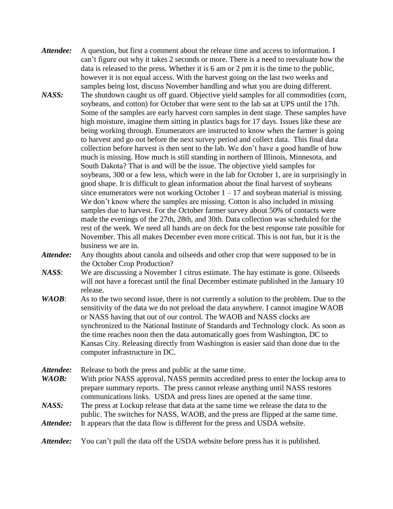- *Attendee:* A question, but first a comment about the release time and access to information. I can't figure out why it takes 2 seconds or more. There is a need to reevaluate how the data is released to the press. Whether it is 6 am or 2 pm it is the time to the public, however it is not equal access. With the harvest going on the last two weeks and samples being lost, discuss November handling and what you are doing different.
- *NASS:* The shutdown caught us off guard. Objective yield samples for all commodities (corn, soybeans, and cotton) for October that were sent to the lab sat at UPS until the 17th. Some of the samples are early harvest corn samples in dent stage. These samples have high moisture, imagine them sitting in plastics bags for 17 days. Issues like these are being working through. Enumerators are instructed to know when the farmer is going to harvest and go out before the next survey period and collect data. This final data collection before harvest is then sent to the lab. We don't have a good handle of how much is missing. How much is still standing in northern of Illinois, Minnesota, and South Dakota? That is and will be the issue. The objective yield samples for soybeans, 300 or a few less, which were in the lab for October 1, are in surprisingly in good shape. It is difficult to glean information about the final harvest of soybeans since enumerators were not working October  $1 - 17$  and soybean material is missing. We don't know where the samples are missing. Cotton is also included in missing samples due to harvest. For the October farmer survey about 50% of contacts were made the evenings of the 27th, 28th, and 30th. Data collection was scheduled for the rest of the week. We need all hands are on deck for the best response rate possible for November. This all makes December even more critical. This is not fun, but it is the business we are in.

*Attendee:* Any thoughts about canola and oilseeds and other crop that were supposed to be in the October Crop Production?

- *NASS*: We are discussing a November 1 citrus estimate. The hay estimate is gone. Oilseeds will not have a forecast until the final December estimate published in the January 10 release.
- *WAOB*: As to the two second issue, there is not currently a solution to the problem. Due to the sensitivity of the data we do not preload the data anywhere. I cannot imagine WAOB or NASS having that out of our control. The WAOB and NASS clocks are synchronized to the National Institute of Standards and Technology clock. As soon as the time reaches noon then the data automatically goes from Washington, DC to Kansas City. Releasing directly from Washington is easier said than done due to the computer infrastructure in DC.

Attendee: Release to both the press and public at the same time. *WAOB:* With prior NASS approval, NASS permits accredited press to enter the lockup area to prepare summary reports. The press cannot release anything until NASS restores communications links. USDA and press lines are opened at the same time. *NASS:* The press at Lockup release that data at the same time we release the data to the public. The switches for NASS, WAOB, and the press are flipped at the same time. *Attendee:* It appears that the data flow is different for the press and USDA website.

Attendee: You can't pull the data off the USDA website before press has it is published.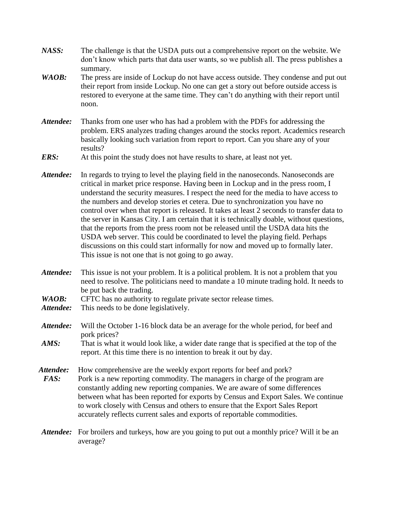- *NASS:* The challenge is that the USDA puts out a comprehensive report on the website. We don't know which parts that data user wants, so we publish all. The press publishes a summary.
- *WAOB*: The press are inside of Lockup do not have access outside. They condense and put out their report from inside Lockup. No one can get a story out before outside access is restored to everyone at the same time. They can't do anything with their report until noon.
- *Attendee:* Thanks from one user who has had a problem with the PDFs for addressing the problem. ERS analyzes trading changes around the stocks report. Academics research basically looking such variation from report to report. Can you share any of your results?
- *ERS:* At this point the study does not have results to share, at least not yet.
- *Attendee:* In regards to trying to level the playing field in the nanoseconds. Nanoseconds are critical in market price response. Having been in Lockup and in the press room, I understand the security measures. I respect the need for the media to have access to the numbers and develop stories et cetera. Due to synchronization you have no control over when that report is released. It takes at least 2 seconds to transfer data to the server in Kansas City. I am certain that it is technically doable, without questions, that the reports from the press room not be released until the USDA data hits the USDA web server. This could be coordinated to level the playing field. Perhaps discussions on this could start informally for now and moved up to formally later. This issue is not one that is not going to go away.
- *Attendee:* This issue is not your problem. It is a political problem. It is not a problem that you need to resolve. The politicians need to mandate a 10 minute trading hold. It needs to be put back the trading.
- WAOB: CFTC has no authority to regulate private sector release times.
- *Attendee:* This needs to be done legislatively.
- *Attendee:* Will the October 1-16 block data be an average for the whole period, for beef and pork prices?
- *AMS:* That is what it would look like, a wider date range that is specified at the top of the report. At this time there is no intention to break it out by day.
- Attendee: How comprehensive are the weekly export reports for beef and pork? *FAS:* Pork is a new reporting commodity. The managers in charge of the program are constantly adding new reporting companies. We are aware of some differences between what has been reported for exports by Census and Export Sales. We continue to work closely with Census and others to ensure that the Export Sales Report accurately reflects current sales and exports of reportable commodities.
- *Attendee:* For broilers and turkeys, how are you going to put out a monthly price? Will it be an average?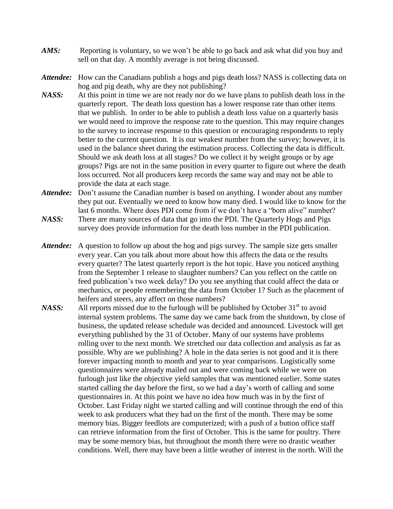- *AMS*: Reporting is voluntary, so we won't be able to go back and ask what did you buy and sell on that day. A monthly average is not being discussed.
- *Attendee:* How can the Canadians publish a hogs and pigs death loss? NASS is collecting data on hog and pig death, why are they not publishing?
- *NASS:* At this point in time we are not ready nor do we have plans to publish death loss in the quarterly report. The death loss question has a lower response rate than other items that we publish. In order to be able to publish a death loss value on a quarterly basis we would need to improve the response rate to the question. This may require changes to the survey to increase response to this question or encouraging respondents to reply better to the current question. It is our weakest number from the survey; however, it is used in the balance sheet during the estimation process. Collecting the data is difficult. Should we ask death loss at all stages? Do we collect it by weight groups or by age groups? Pigs are not in the same position in every quarter to figure out where the death loss occurred. Not all producers keep records the same way and may not be able to provide the data at each stage.
- *Attendee:* Don't assume the Canadian number is based on anything. I wonder about any number they put out. Eventually we need to know how many died. I would like to know for the last 6 months. Where does PDI come from if we don't have a "born alive" number?
- *NASS:* There are many sources of data that go into the PDI. The Quarterly Hogs and Pigs survey does provide information for the death loss number in the PDI publication.
- *Attendee:* A question to follow up about the hog and pigs survey. The sample size gets smaller every year. Can you talk about more about how this affects the data or the results every quarter? The latest quarterly report is the hot topic. Have you noticed anything from the September 1 release to slaughter numbers? Can you reflect on the cattle on feed publication's two week delay? Do you see anything that could affect the data or mechanics, or people remembering the data from October 1? Such as the placement of heifers and steers, any affect on those numbers?
- *NASS:* All reports missed due to the furlough will be published by October 31<sup>st</sup> to avoid internal system problems. The same day we came back from the shutdown, by close of business, the updated release schedule was decided and announced. Livestock will get everything published by the 31 of October. Many of our systems have problems rolling over to the next month. We stretched our data collection and analysis as far as possible. Why are we publishing? A hole in the data series is not good and it is there forever impacting month to month and year to year comparisons. Logistically some questionnaires were already mailed out and were coming back while we were on furlough just like the objective yield samples that was mentioned earlier. Some states started calling the day before the first, so we had a day's worth of calling and some questionnaires in. At this point we have no idea how much was in by the first of October. Last Friday night we started calling and will continue through the end of this week to ask producers what they had on the first of the month. There may be some memory bias. Bigger feedlots are computerized; with a push of a button office staff can retrieve information from the first of October. This is the same for poultry. There may be some memory bias, but throughout the month there were no drastic weather conditions. Well, there may have been a little weather of interest in the north. Will the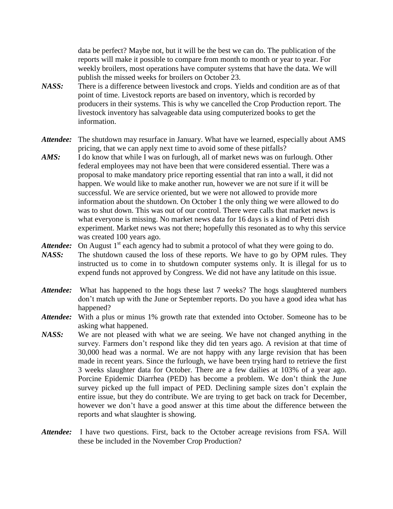data be perfect? Maybe not, but it will be the best we can do. The publication of the reports will make it possible to compare from month to month or year to year. For weekly broilers, most operations have computer systems that have the data. We will publish the missed weeks for broilers on October 23.

- *NASS:* There is a difference between livestock and crops. Yields and condition are as of that point of time. Livestock reports are based on inventory, which is recorded by producers in their systems. This is why we cancelled the Crop Production report. The livestock inventory has salvageable data using computerized books to get the information.
- *Attendee:* The shutdown may resurface in January. What have we learned, especially about AMS pricing, that we can apply next time to avoid some of these pitfalls?
- *AMS:* I do know that while I was on furlough, all of market news was on furlough. Other federal employees may not have been that were considered essential. There was a proposal to make mandatory price reporting essential that ran into a wall, it did not happen. We would like to make another run, however we are not sure if it will be successful. We are service oriented, but we were not allowed to provide more information about the shutdown. On October 1 the only thing we were allowed to do was to shut down. This was out of our control. There were calls that market news is what everyone is missing. No market news data for 16 days is a kind of Petri dish experiment. Market news was not there; hopefully this resonated as to why this service was created 100 years ago.
- Attendee: On August 1<sup>st</sup> each agency had to submit a protocol of what they were going to do.
- *NASS:* The shutdown caused the loss of these reports. We have to go by OPM rules. They instructed us to come in to shutdown computer systems only. It is illegal for us to expend funds not approved by Congress. We did not have any latitude on this issue.
- *Attendee:* What has happened to the hogs these last 7 weeks? The hogs slaughtered numbers don't match up with the June or September reports. Do you have a good idea what has happened?
- *Attendee:* With a plus or minus 1% growth rate that extended into October. Someone has to be asking what happened.
- *NASS:* We are not pleased with what we are seeing. We have not changed anything in the survey. Farmers don't respond like they did ten years ago. A revision at that time of 30,000 head was a normal. We are not happy with any large revision that has been made in recent years. Since the furlough, we have been trying hard to retrieve the first 3 weeks slaughter data for October. There are a few dailies at 103% of a year ago. Porcine Epidemic Diarrhea (PED) has become a problem. We don't think the June survey picked up the full impact of PED. Declining sample sizes don't explain the entire issue, but they do contribute. We are trying to get back on track for December, however we don't have a good answer at this time about the difference between the reports and what slaughter is showing.
- *Attendee:* I have two questions. First, back to the October acreage revisions from FSA. Will these be included in the November Crop Production?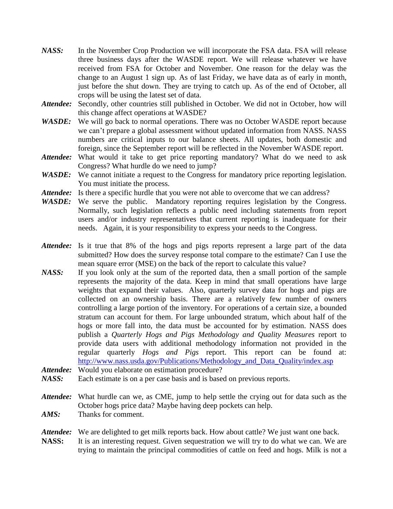- *NASS:* In the November Crop Production we will incorporate the FSA data. FSA will release three business days after the WASDE report. We will release whatever we have received from FSA for October and November. One reason for the delay was the change to an August 1 sign up. As of last Friday, we have data as of early in month, just before the shut down. They are trying to catch up. As of the end of October, all crops will be using the latest set of data.
- *Attendee:* Secondly, other countries still published in October. We did not in October, how will this change affect operations at WASDE?
- WASDE: We will go back to normal operations. There was no October WASDE report because we can't prepare a global assessment without updated information from NASS. NASS numbers are critical inputs to our balance sheets. All updates, both domestic and foreign, since the September report will be reflected in the November WASDE report.
- *Attendee:* What would it take to get price reporting mandatory? What do we need to ask Congress? What hurdle do we need to jump?
- WASDE: We cannot initiate a request to the Congress for mandatory price reporting legislation. You must initiate the process.
- Attendee: Is there a specific hurdle that you were not able to overcome that we can address?
- WASDE: We serve the public. Mandatory reporting requires legislation by the Congress. Normally, such legislation reflects a public need including statements from report users and/or industry representatives that current reporting is inadequate for their needs. Again, it is your responsibility to express your needs to the Congress.
- Attendee: Is it true that 8% of the hogs and pigs reports represent a large part of the data submitted? How does the survey response total compare to the estimate? Can I use the mean square error (MSE) on the back of the report to calculate this value?
- *NASS:* If you look only at the sum of the reported data, then a small portion of the sample represents the majority of the data. Keep in mind that small operations have large weights that expand their values. Also, quarterly survey data for hogs and pigs are collected on an ownership basis. There are a relatively few number of owners controlling a large portion of the inventory. For operations of a certain size, a bounded stratum can account for them. For large unbounded stratum, which about half of the hogs or more fall into, the data must be accounted for by estimation. NASS does publish a *Quarterly Hogs and Pigs Methodology and Quality Measures* report to provide data users with additional methodology information not provided in the regular quarterly *Hogs and Pigs* report. This report can be found at: [http://www.nass.usda.gov/Publications/Methodology\\_and\\_Data\\_Quality/index.asp](http://www.nass.usda.gov/Publications/Methodology_and_Data_Quality/index.asp)
- *Attendee:* Would you elaborate on estimation procedure?
- *NASS:* Each estimate is on a per case basis and is based on previous reports.
- *Attendee:* What hurdle can we, as CME, jump to help settle the crying out for data such as the October hogs price data? Maybe having deep pockets can help.
- AMS: Thanks for comment.
- *Attendee:* We are delighted to get milk reports back. How about cattle? We just want one back.
- **NASS:** It is an interesting request. Given sequestration we will try to do what we can. We are trying to maintain the principal commodities of cattle on feed and hogs. Milk is not a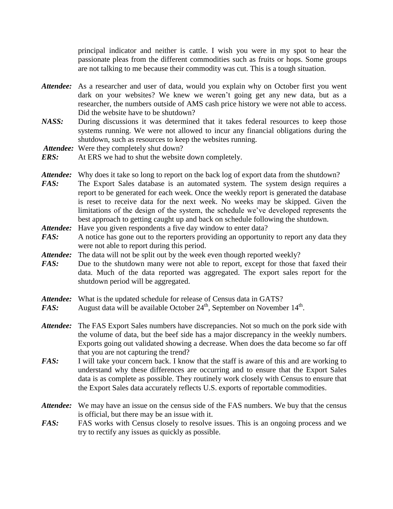principal indicator and neither is cattle. I wish you were in my spot to hear the passionate pleas from the different commodities such as fruits or hops. Some groups are not talking to me because their commodity was cut. This is a tough situation.

- *Attendee:* As a researcher and user of data, would you explain why on October first you went dark on your websites? We knew we weren't going get any new data, but as a researcher, the numbers outside of AMS cash price history we were not able to access. Did the website have to be shutdown?
- *NASS:* During discussions it was determined that it takes federal resources to keep those systems running. We were not allowed to incur any financial obligations during the shutdown, such as resources to keep the websites running.

Attendee: Were they completely shut down?

- *Attendee:* Why does it take so long to report on the back log of export data from the shutdown?
- *FAS*: The Export Sales database is an automated system. The system design requires a report to be generated for each week. Once the weekly report is generated the database is reset to receive data for the next week. No weeks may be skipped. Given the limitations of the design of the system, the schedule we've developed represents the best approach to getting caught up and back on schedule following the shutdown.
- Attendee: Have you given respondents a five day window to enter data?
- *FAS:* A notice has gone out to the reporters providing an opportunity to report any data they were not able to report during this period.
- Attendee: The data will not be split out by the week even though reported weekly?
- *FAS:* Due to the shutdown many were not able to report, except for those that faxed their data. Much of the data reported was aggregated. The export sales report for the shutdown period will be aggregated.
- *Attendee:* What is the updated schedule for release of Census data in GATS?
- *FAS:* August data will be available October  $24<sup>th</sup>$ , September on November  $14<sup>th</sup>$ .
- *Attendee:* The FAS Export Sales numbers have discrepancies. Not so much on the pork side with the volume of data, but the beef side has a major discrepancy in the weekly numbers. Exports going out validated showing a decrease. When does the data become so far off that you are not capturing the trend?
- *FAS:* I will take your concern back. I know that the staff is aware of this and are working to understand why these differences are occurring and to ensure that the Export Sales data is as complete as possible. They routinely work closely with Census to ensure that the Export Sales data accurately reflects U.S. exports of reportable commodities.
- *Attendee:* We may have an issue on the census side of the FAS numbers. We buy that the census is official, but there may be an issue with it.
- *FAS:* FAS works with Census closely to resolve issues. This is an ongoing process and we try to rectify any issues as quickly as possible.

*ERS:* At ERS we had to shut the website down completely.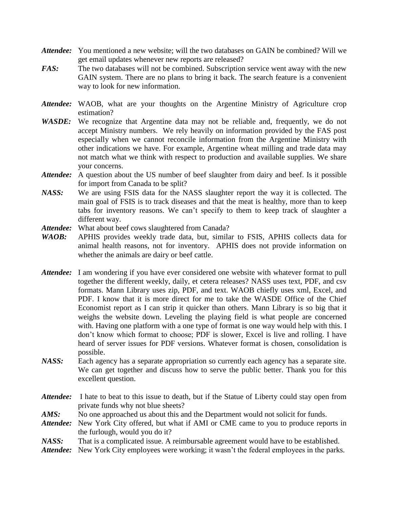- *Attendee:* You mentioned a new website; will the two databases on GAIN be combined? Will we get email updates whenever new reports are released?
- *FAS:* The two databases will not be combined. Subscription service went away with the new GAIN system. There are no plans to bring it back. The search feature is a convenient way to look for new information.
- Attendee: WAOB, what are your thoughts on the Argentine Ministry of Agriculture crop estimation?
- *WASDE:* We recognize that Argentine data may not be reliable and, frequently, we do not accept Ministry numbers. We rely heavily on information provided by the FAS post especially when we cannot reconcile information from the Argentine Ministry with other indications we have. For example, Argentine wheat milling and trade data may not match what we think with respect to production and available supplies. We share your concerns.
- *Attendee:* A question about the US number of beef slaughter from dairy and beef. Is it possible for import from Canada to be split?
- *NASS:* We are using FSIS data for the NASS slaughter report the way it is collected. The main goal of FSIS is to track diseases and that the meat is healthy, more than to keep tabs for inventory reasons. We can't specify to them to keep track of slaughter a different way.
- Attendee: What about beef cows slaughtered from Canada?
- *WAOB:* APHIS provides weekly trade data, but, similar to FSIS, APHIS collects data for animal health reasons, not for inventory. APHIS does not provide information on whether the animals are dairy or beef cattle.
- *Attendee:* I am wondering if you have ever considered one website with whatever format to pull together the different weekly, daily, et cetera releases? NASS uses text, PDF, and csv formats. Mann Library uses zip, PDF, and text. WAOB chiefly uses xml, Excel, and PDF. I know that it is more direct for me to take the WASDE Office of the Chief Economist report as I can strip it quicker than others. Mann Library is so big that it weighs the website down. Leveling the playing field is what people are concerned with. Having one platform with a one type of format is one way would help with this. I don't know which format to choose; PDF is slower, Excel is live and rolling. I have heard of server issues for PDF versions. Whatever format is chosen, consolidation is possible.
- *NASS:* Each agency has a separate appropriation so currently each agency has a separate site. We can get together and discuss how to serve the public better. Thank you for this excellent question.
- *Attendee:* I hate to beat to this issue to death, but if the Statue of Liberty could stay open from private funds why not blue sheets?
- *AMS:* No one approached us about this and the Department would not solicit for funds.
- *Attendee:* New York City offered, but what if AMI or CME came to you to produce reports in the furlough, would you do it?
- *NASS:* That is a complicated issue. A reimbursable agreement would have to be established.
- Attendee: New York City employees were working; it wasn't the federal employees in the parks.